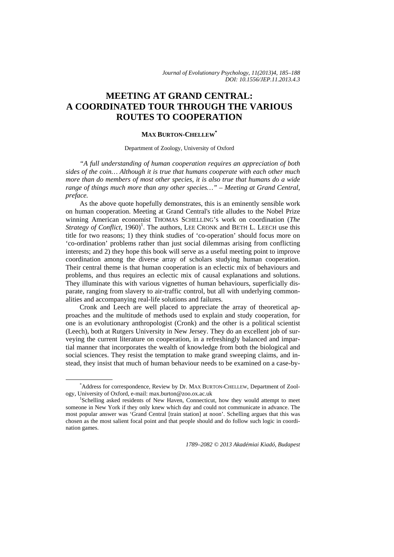# **MEETING AT GRAND CENTRAL: A COORDINATED TOUR THROUGH THE VARIOUS ROUTES TO COOPERATION**

## **MAX BURTON-CHELLEW\***

#### Department of Zoology, University of Oxford

*"A full understanding of human cooperation requires an appreciation of both sides of the coin… Although it is true that humans cooperate with each other much more than do members of most other species, it is also true that humans do a wide range of things much more than any other species…" – Meeting at Grand Central, preface.* 

As the above quote hopefully demonstrates, this is an eminently sensible work on human cooperation. Meeting at Grand Central's title alludes to the Nobel Prize winning American economist THOMAS SCHELLING's work on coordination (*The Strategy of Conflict,* 1960)<sup>1</sup>. The authors, LEE CRONK and BETH L. LEECH use this title for two reasons; 1) they think studies of 'co-operation' should focus more on 'co-ordination' problems rather than just social dilemmas arising from conflicting interests; and 2) they hope this book will serve as a useful meeting point to improve coordination among the diverse array of scholars studying human cooperation. Their central theme is that human cooperation is an eclectic mix of behaviours and problems, and thus requires an eclectic mix of causal explanations and solutions. They illuminate this with various vignettes of human behaviours, superficially disparate, ranging from slavery to air-traffic control, but all with underlying commonalities and accompanying real-life solutions and failures.

Cronk and Leech are well placed to appreciate the array of theoretical approaches and the multitude of methods used to explain and study cooperation, for one is an evolutionary anthropologist (Cronk) and the other is a political scientist (Leech), both at Rutgers University in New Jersey. They do an excellent job of surveying the current literature on cooperation, in a refreshingly balanced and impartial manner that incorporates the wealth of knowledge from both the biological and social sciences. They resist the temptation to make grand sweeping claims, and instead, they insist that much of human behaviour needs to be examined on a case-by-

*1789–2082 © 2013 Akadémiai Kiadó, Budapest* 

\* Address for correspondence, Review by Dr. MAX BURTON-CHELLEW, Department of Zoology, University of Oxford, e-mail: max.burton@zoo.ox.ac.uk 1

<sup>&</sup>lt;sup>1</sup>Schelling asked residents of New Haven, Connecticut, how they would attempt to meet someone in New York if they only knew which day and could not communicate in advance. The most popular answer was 'Grand Central [train station] at noon'. Schelling argues that this was chosen as the most salient focal point and that people should and do follow such logic in coordination games.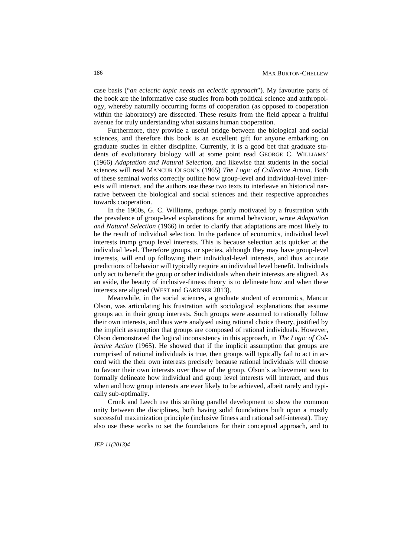case basis ("*an eclectic topic needs an eclectic approach*"). My favourite parts of the book are the informative case studies from both political science and anthropology, whereby naturally occurring forms of cooperation (as opposed to cooperation within the laboratory) are dissected. These results from the field appear a fruitful avenue for truly understanding what sustains human cooperation.

Furthermore, they provide a useful bridge between the biological and social sciences, and therefore this book is an excellent gift for anyone embarking on graduate studies in either discipline. Currently, it is a good bet that graduate students of evolutionary biology will at some point read GEORGE C. WILLIAMS' (1966) *Adaptation and Natural Selection*, and likewise that students in the social sciences will read MANCUR OLSON's (1965) *The Logic of Collective Action*. Both of these seminal works correctly outline how group-level and individual-level interests will interact, and the authors use these two texts to interleave an historical narrative between the biological and social sciences and their respective approaches towards cooperation.

In the 1960s, G. C. Williams, perhaps partly motivated by a frustration with the prevalence of group-level explanations for animal behaviour, wrote *Adaptation and Natural Selection* (1966) in order to clarify that adaptations are most likely to be the result of individual selection. In the parlance of economics, individual level interests trump group level interests. This is because selection acts quicker at the individual level. Therefore groups, or species, although they may have group-level interests, will end up following their individual-level interests, and thus accurate predictions of behavior will typically require an individual level benefit. Individuals only act to benefit the group or other individuals when their interests are aligned. As an aside, the beauty of inclusive-fitness theory is to delineate how and when these interests are aligned (WEST and GARDNER 2013).

Meanwhile, in the social sciences, a graduate student of economics, Mancur Olson, was articulating his frustration with sociological explanations that assume groups act in their group interests. Such groups were assumed to rationally follow their own interests, and thus were analysed using rational choice theory, justified by the implicit assumption that groups are composed of rational individuals. However, Olson demonstrated the logical inconsistency in this approach, in *The Logic of Collective Action* (1965). He showed that if the implicit assumption that groups are comprised of rational individuals is true, then groups will typically fail to act in accord with the their own interests precisely because rational individuals will choose to favour their own interests over those of the group. Olson's achievement was to formally delineate how individual and group level interests will interact, and thus when and how group interests are ever likely to be achieved, albeit rarely and typically sub-optimally.

Cronk and Leech use this striking parallel development to show the common unity between the disciplines, both having solid foundations built upon a mostly successful maximization principle (inclusive fitness and rational self-interest). They also use these works to set the foundations for their conceptual approach, and to

*JEP 11(2013)4*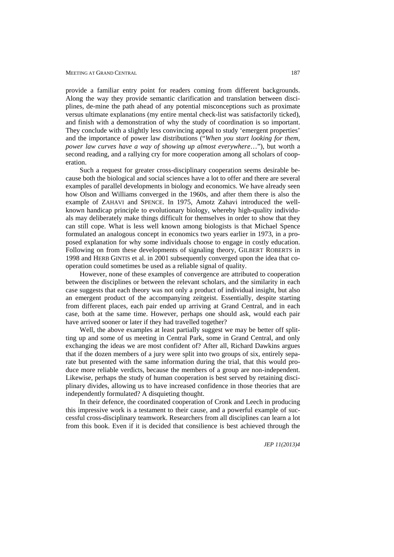#### MEETING AT GRAND CENTRAL

provide a familiar entry point for readers coming from different backgrounds. Along the way they provide semantic clarification and translation between disciplines, de-mine the path ahead of any potential misconceptions such as proximate versus ultimate explanations (my entire mental check-list was satisfactorily ticked), and finish with a demonstration of why the study of coordination is so important. They conclude with a slightly less convincing appeal to study 'emergent properties' and the importance of power law distributions ("*When you start looking for them, power law curves have a way of showing up almost everywhere*…"), but worth a second reading, and a rallying cry for more cooperation among all scholars of cooperation.

Such a request for greater cross-disciplinary cooperation seems desirable because both the biological and social sciences have a lot to offer and there are several examples of parallel developments in biology and economics. We have already seen how Olson and Williams converged in the 1960s, and after them there is also the example of ZAHAVI and SPENCE. In 1975, Amotz Zahavi introduced the wellknown handicap principle to evolutionary biology, whereby high-quality individuals may deliberately make things difficult for themselves in order to show that they can still cope. What is less well known among biologists is that Michael Spence formulated an analogous concept in economics two years earlier in 1973, in a proposed explanation for why some individuals choose to engage in costly education. Following on from these developments of signaling theory, GILBERT ROBERTS in 1998 and HERB GINTIS et al. in 2001 subsequently converged upon the idea that cooperation could sometimes be used as a reliable signal of quality.

However, none of these examples of convergence are attributed to cooperation between the disciplines or between the relevant scholars, and the similarity in each case suggests that each theory was not only a product of individual insight, but also an emergent product of the accompanying zeitgeist. Essentially, despite starting from different places, each pair ended up arriving at Grand Central, and in each case, both at the same time. However, perhaps one should ask, would each pair have arrived sooner or later if they had travelled together?

Well, the above examples at least partially suggest we may be better off splitting up and some of us meeting in Central Park, some in Grand Central, and only exchanging the ideas we are most confident of? After all, Richard Dawkins argues that if the dozen members of a jury were split into two groups of six, entirely separate but presented with the same information during the trial, that this would produce more reliable verdicts, because the members of a group are non-independent. Likewise, perhaps the study of human cooperation is best served by retaining disciplinary divides, allowing us to have increased confidence in those theories that are independently formulated? A disquieting thought.

In their defence, the coordinated cooperation of Cronk and Leech in producing this impressive work is a testament to their cause, and a powerful example of successful cross-disciplinary teamwork. Researchers from all disciplines can learn a lot from this book. Even if it is decided that consilience is best achieved through the

*JEP 11(2013)4*